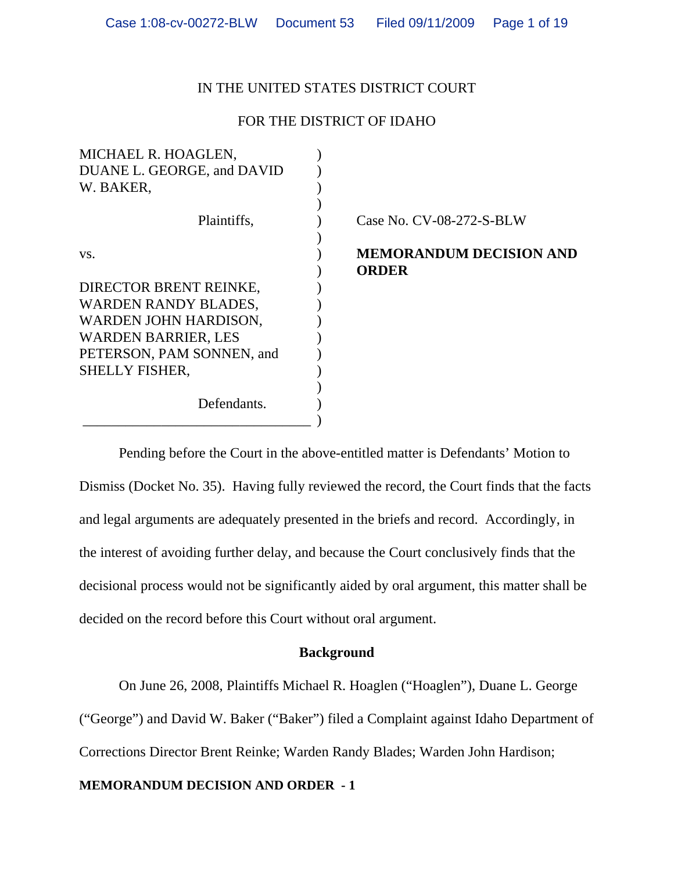# IN THE UNITED STATES DISTRICT COURT

# FOR THE DISTRICT OF IDAHO

| MICHAEL R. HOAGLEN,         |                                |
|-----------------------------|--------------------------------|
| DUANE L. GEORGE, and DAVID  |                                |
| W. BAKER,                   |                                |
|                             |                                |
| Plaintiffs,                 | Case No. CV-08-272-S-BLW       |
|                             |                                |
| VS.                         | <b>MEMORANDUM DECISION AND</b> |
|                             | <b>ORDER</b>                   |
| DIRECTOR BRENT REINKE,      |                                |
| <b>WARDEN RANDY BLADES,</b> |                                |
| WARDEN JOHN HARDISON,       |                                |
| <b>WARDEN BARRIER, LES</b>  |                                |
| PETERSON, PAM SONNEN, and   |                                |
| <b>SHELLY FISHER,</b>       |                                |
|                             |                                |
| Defendants.                 |                                |
|                             |                                |

Pending before the Court in the above-entitled matter is Defendants' Motion to Dismiss (Docket No. 35). Having fully reviewed the record, the Court finds that the facts and legal arguments are adequately presented in the briefs and record. Accordingly, in the interest of avoiding further delay, and because the Court conclusively finds that the decisional process would not be significantly aided by oral argument, this matter shall be decided on the record before this Court without oral argument.

# **Background**

On June 26, 2008, Plaintiffs Michael R. Hoaglen ("Hoaglen"), Duane L. George

("George") and David W. Baker ("Baker") filed a Complaint against Idaho Department of

Corrections Director Brent Reinke; Warden Randy Blades; Warden John Hardison;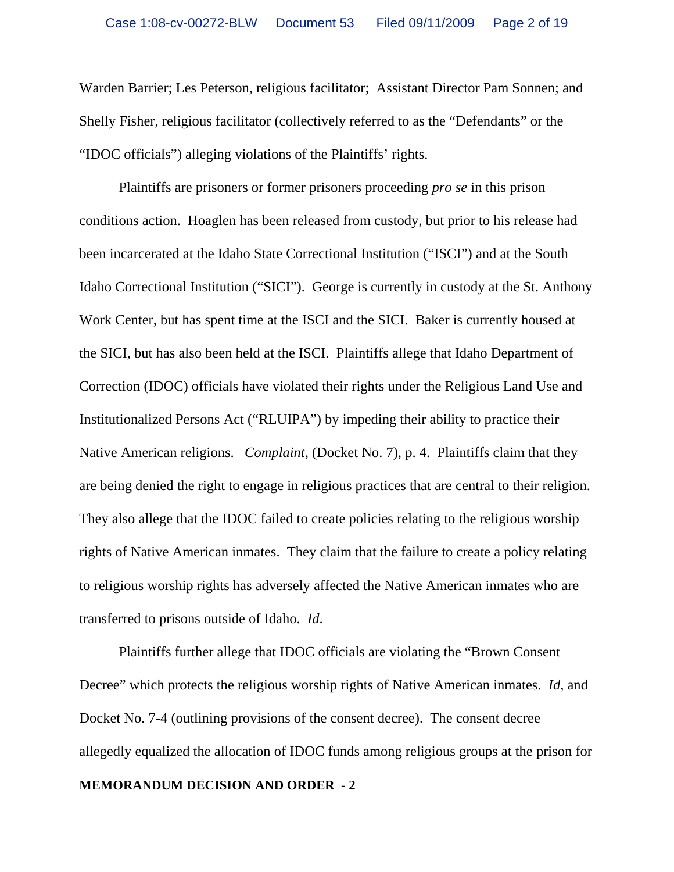Warden Barrier; Les Peterson, religious facilitator; Assistant Director Pam Sonnen; and Shelly Fisher, religious facilitator (collectively referred to as the "Defendants" or the "IDOC officials") alleging violations of the Plaintiffs' rights.

Plaintiffs are prisoners or former prisoners proceeding *pro se* in this prison conditions action. Hoaglen has been released from custody, but prior to his release had been incarcerated at the Idaho State Correctional Institution ("ISCI") and at the South Idaho Correctional Institution ("SICI"). George is currently in custody at the St. Anthony Work Center, but has spent time at the ISCI and the SICI. Baker is currently housed at the SICI, but has also been held at the ISCI. Plaintiffs allege that Idaho Department of Correction (IDOC) officials have violated their rights under the Religious Land Use and Institutionalized Persons Act ("RLUIPA") by impeding their ability to practice their Native American religions. *Complaint*, (Docket No. 7), p. 4. Plaintiffs claim that they are being denied the right to engage in religious practices that are central to their religion. They also allege that the IDOC failed to create policies relating to the religious worship rights of Native American inmates. They claim that the failure to create a policy relating to religious worship rights has adversely affected the Native American inmates who are transferred to prisons outside of Idaho. *Id*.

Plaintiffs further allege that IDOC officials are violating the "Brown Consent Decree" which protects the religious worship rights of Native American inmates. *Id*, and Docket No. 7-4 (outlining provisions of the consent decree). The consent decree allegedly equalized the allocation of IDOC funds among religious groups at the prison for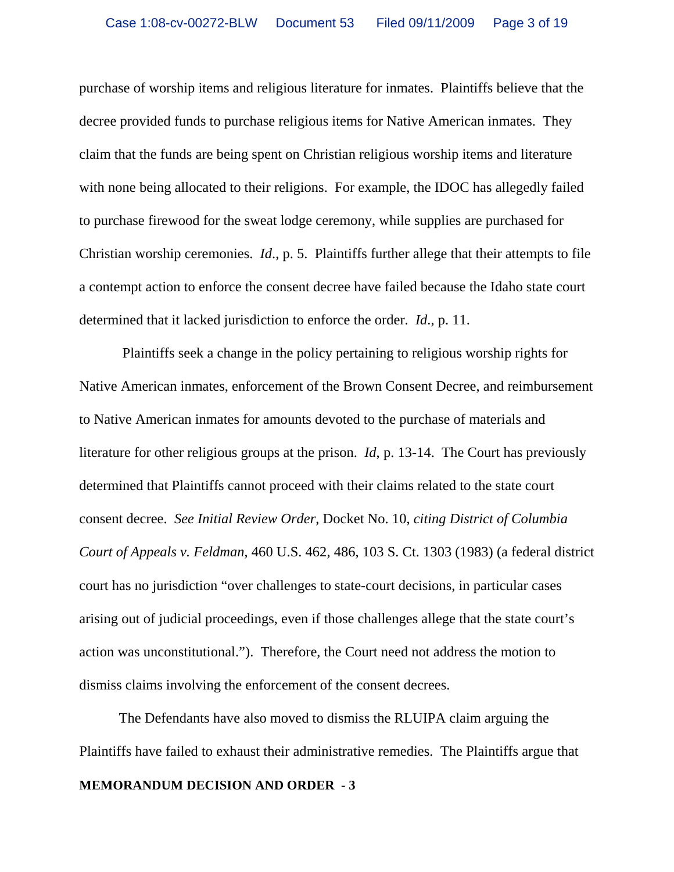purchase of worship items and religious literature for inmates. Plaintiffs believe that the decree provided funds to purchase religious items for Native American inmates. They claim that the funds are being spent on Christian religious worship items and literature with none being allocated to their religions. For example, the IDOC has allegedly failed to purchase firewood for the sweat lodge ceremony, while supplies are purchased for Christian worship ceremonies. *Id*., p. 5. Plaintiffs further allege that their attempts to file a contempt action to enforce the consent decree have failed because the Idaho state court determined that it lacked jurisdiction to enforce the order. *Id*., p. 11.

 Plaintiffs seek a change in the policy pertaining to religious worship rights for Native American inmates, enforcement of the Brown Consent Decree, and reimbursement to Native American inmates for amounts devoted to the purchase of materials and literature for other religious groups at the prison. *Id*, p. 13-14. The Court has previously determined that Plaintiffs cannot proceed with their claims related to the state court consent decree. *See Initial Review Order*, Docket No. 10, *citing District of Columbia Court of Appeals v. Feldman*, 460 U.S. 462, 486, 103 S. Ct. 1303 (1983) (a federal district court has no jurisdiction "over challenges to state-court decisions, in particular cases arising out of judicial proceedings, even if those challenges allege that the state court's action was unconstitutional."). Therefore, the Court need not address the motion to dismiss claims involving the enforcement of the consent decrees.

**MEMORANDUM DECISION AND ORDER - 3** The Defendants have also moved to dismiss the RLUIPA claim arguing the Plaintiffs have failed to exhaust their administrative remedies. The Plaintiffs argue that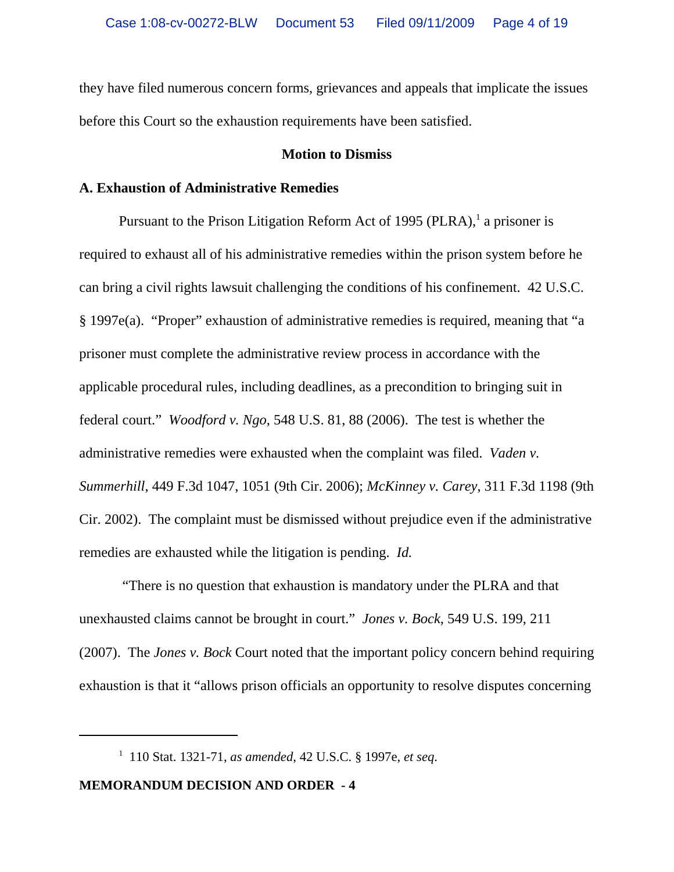they have filed numerous concern forms, grievances and appeals that implicate the issues before this Court so the exhaustion requirements have been satisfied.

### **Motion to Dismiss**

# **A. Exhaustion of Administrative Remedies**

Pursuant to the Prison Litigation Reform Act of 1995 (PLRA), $^1$  a prisoner is required to exhaust all of his administrative remedies within the prison system before he can bring a civil rights lawsuit challenging the conditions of his confinement. 42 U.S.C. § 1997e(a). "Proper" exhaustion of administrative remedies is required, meaning that "a prisoner must complete the administrative review process in accordance with the applicable procedural rules, including deadlines, as a precondition to bringing suit in federal court." *Woodford v. Ngo*, 548 U.S. 81, 88 (2006). The test is whether the administrative remedies were exhausted when the complaint was filed. *Vaden v. Summerhill*, 449 F.3d 1047, 1051 (9th Cir. 2006); *McKinney v. Carey*, 311 F.3d 1198 (9th Cir. 2002). The complaint must be dismissed without prejudice even if the administrative remedies are exhausted while the litigation is pending. *Id.*

 "There is no question that exhaustion is mandatory under the PLRA and that unexhausted claims cannot be brought in court." *Jones v. Bock*, 549 U.S. 199, 211 (2007). The *Jones v. Bock* Court noted that the important policy concern behind requiring exhaustion is that it "allows prison officials an opportunity to resolve disputes concerning

<sup>1</sup> 110 Stat. 1321-71, *as amended*, 42 U.S.C. § 1997e, *et seq*.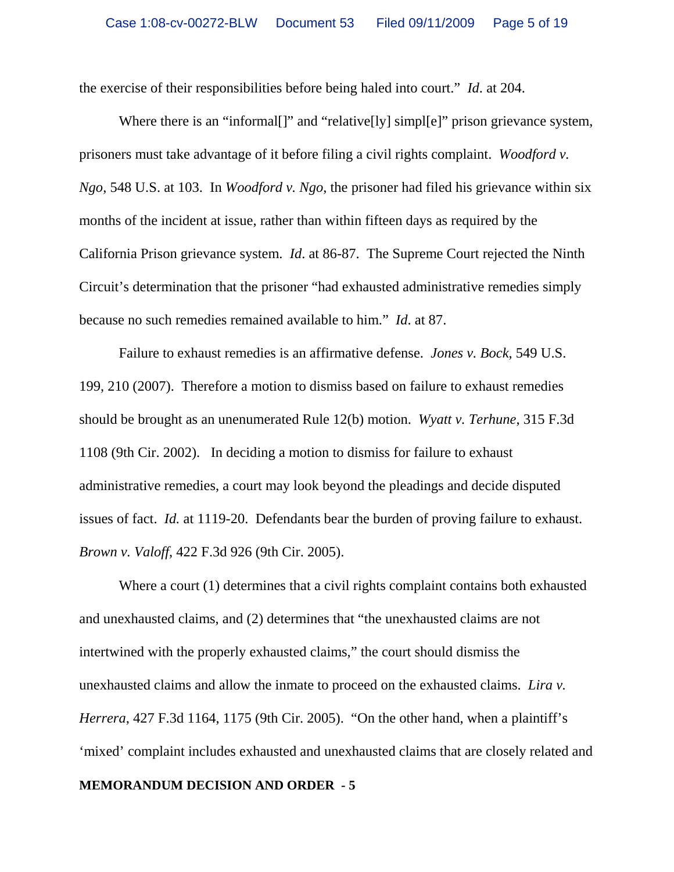the exercise of their responsibilities before being haled into court." *Id*. at 204.

Where there is an "informal<sup>[]"</sup> and "relative<sup>[]</sup>y] simpl<sup>[e]"</sup> prison grievance system, prisoners must take advantage of it before filing a civil rights complaint. *Woodford v. Ngo*, 548 U.S. at 103. In *Woodford v. Ngo*, the prisoner had filed his grievance within six months of the incident at issue, rather than within fifteen days as required by the California Prison grievance system. *Id*. at 86-87. The Supreme Court rejected the Ninth Circuit's determination that the prisoner "had exhausted administrative remedies simply because no such remedies remained available to him." *Id*. at 87.

Failure to exhaust remedies is an affirmative defense. *Jones v. Bock*, 549 U.S. 199, 210 (2007). Therefore a motion to dismiss based on failure to exhaust remedies should be brought as an unenumerated Rule 12(b) motion. *Wyatt v. Terhune*, 315 F.3d 1108 (9th Cir. 2002). In deciding a motion to dismiss for failure to exhaust administrative remedies, a court may look beyond the pleadings and decide disputed issues of fact. *Id.* at 1119-20. Defendants bear the burden of proving failure to exhaust. *Brown v. Valoff*, 422 F.3d 926 (9th Cir. 2005).

Where a court (1) determines that a civil rights complaint contains both exhausted and unexhausted claims, and (2) determines that "the unexhausted claims are not intertwined with the properly exhausted claims," the court should dismiss the unexhausted claims and allow the inmate to proceed on the exhausted claims. *Lira v. Herrera*, 427 F.3d 1164, 1175 (9th Cir. 2005). "On the other hand, when a plaintiff's 'mixed' complaint includes exhausted and unexhausted claims that are closely related and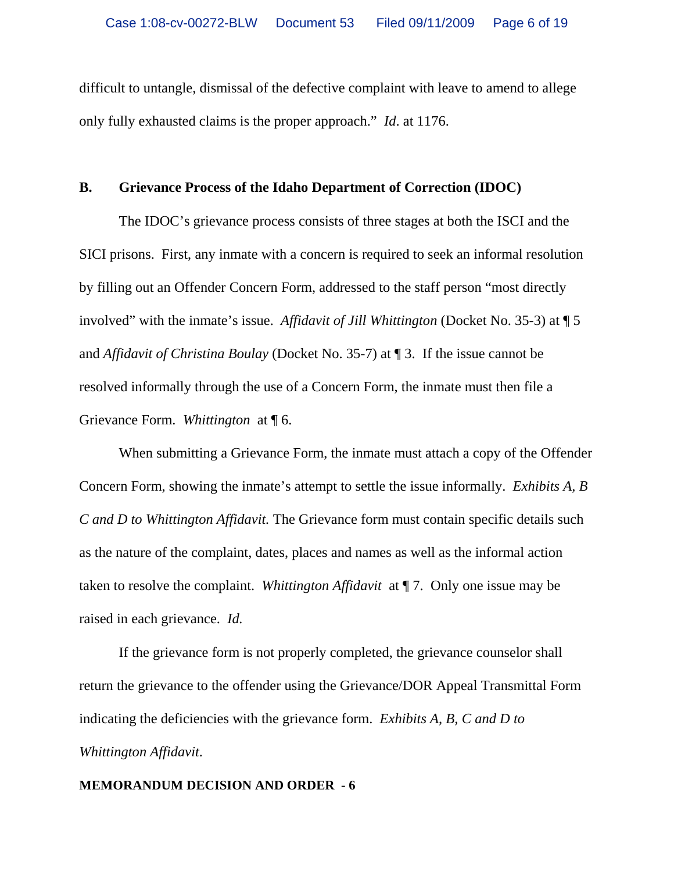difficult to untangle, dismissal of the defective complaint with leave to amend to allege only fully exhausted claims is the proper approach." *Id*. at 1176.

## **B. Grievance Process of the Idaho Department of Correction (IDOC)**

The IDOC's grievance process consists of three stages at both the ISCI and the SICI prisons. First, any inmate with a concern is required to seek an informal resolution by filling out an Offender Concern Form, addressed to the staff person "most directly involved" with the inmate's issue. *Affidavit of Jill Whittington* (Docket No. 35-3) at ¶ 5 and *Affidavit of Christina Boulay* (Docket No. 35-7) at ¶ 3. If the issue cannot be resolved informally through the use of a Concern Form, the inmate must then file a Grievance Form. *Whittington* at ¶ 6.

When submitting a Grievance Form, the inmate must attach a copy of the Offender Concern Form, showing the inmate's attempt to settle the issue informally. *Exhibits A, B C and D to Whittington Affidavit.* The Grievance form must contain specific details such as the nature of the complaint, dates, places and names as well as the informal action taken to resolve the complaint. *Whittington Affidavit* at ¶ 7. Only one issue may be raised in each grievance. *Id.*

If the grievance form is not properly completed, the grievance counselor shall return the grievance to the offender using the Grievance/DOR Appeal Transmittal Form indicating the deficiencies with the grievance form. *Exhibits A, B, C and D to Whittington Affidavit*.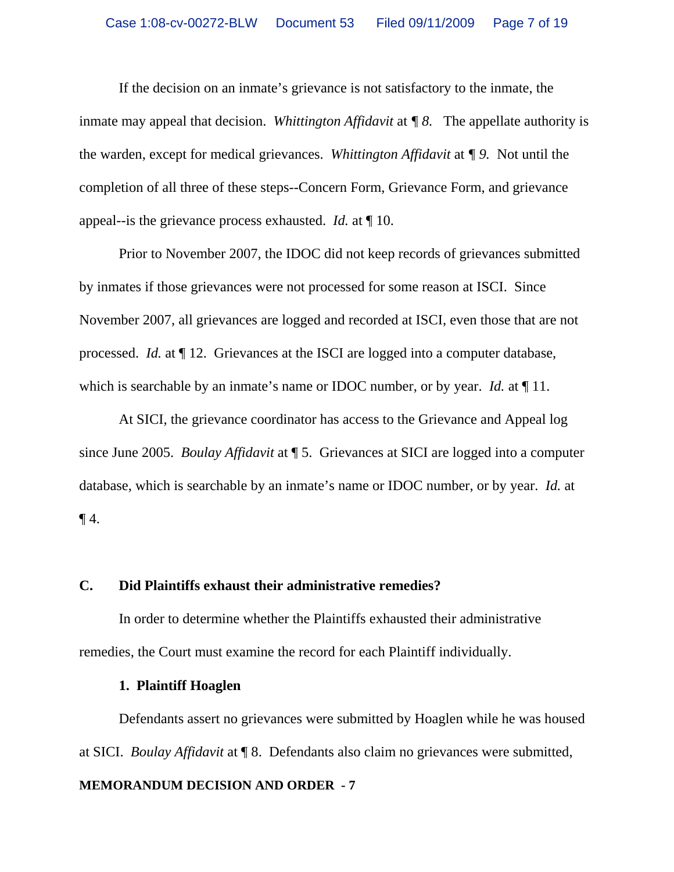If the decision on an inmate's grievance is not satisfactory to the inmate, the inmate may appeal that decision. *Whittington Affidavit* at *¶ 8.* The appellate authority is the warden, except for medical grievances. *Whittington Affidavit* at *¶ 9.* Not until the completion of all three of these steps--Concern Form, Grievance Form, and grievance appeal--is the grievance process exhausted. *Id.* at ¶ 10.

Prior to November 2007, the IDOC did not keep records of grievances submitted by inmates if those grievances were not processed for some reason at ISCI. Since November 2007, all grievances are logged and recorded at ISCI, even those that are not processed. *Id.* at ¶ 12. Grievances at the ISCI are logged into a computer database, which is searchable by an inmate's name or IDOC number, or by year. *Id.* at 11.

At SICI, the grievance coordinator has access to the Grievance and Appeal log since June 2005. *Boulay Affidavit* at ¶ 5. Grievances at SICI are logged into a computer database, which is searchable by an inmate's name or IDOC number, or by year. *Id.* at  $\P$ 4.

### **C. Did Plaintiffs exhaust their administrative remedies?**

In order to determine whether the Plaintiffs exhausted their administrative remedies, the Court must examine the record for each Plaintiff individually.

## **1. Plaintiff Hoaglen**

Defendants assert no grievances were submitted by Hoaglen while he was housed at SICI. *Boulay Affidavit* at ¶ 8.Defendants also claim no grievances were submitted,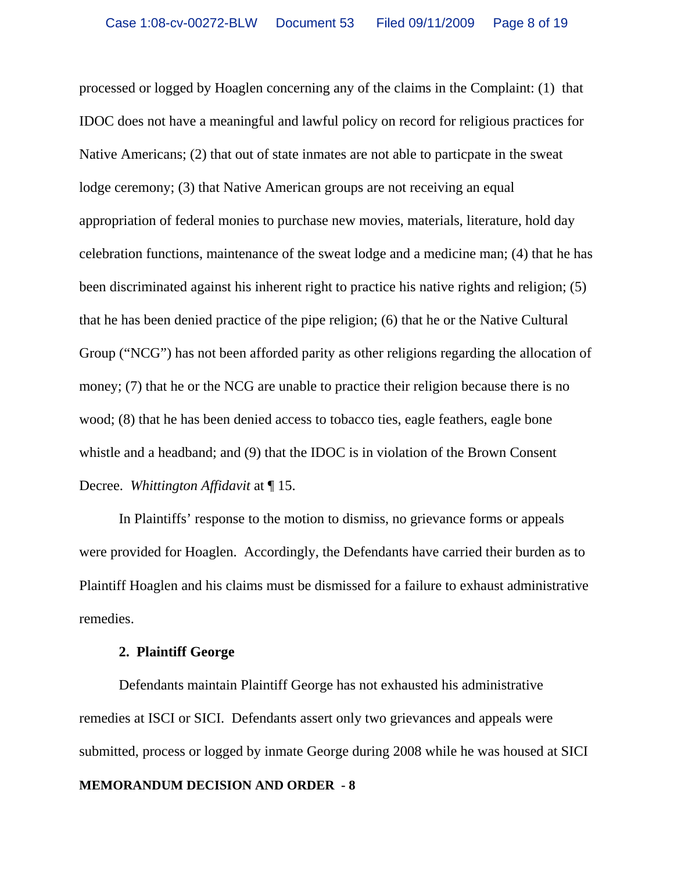processed or logged by Hoaglen concerning any of the claims in the Complaint: (1) that IDOC does not have a meaningful and lawful policy on record for religious practices for Native Americans; (2) that out of state inmates are not able to particpate in the sweat lodge ceremony; (3) that Native American groups are not receiving an equal appropriation of federal monies to purchase new movies, materials, literature, hold day celebration functions, maintenance of the sweat lodge and a medicine man; (4) that he has been discriminated against his inherent right to practice his native rights and religion; (5) that he has been denied practice of the pipe religion; (6) that he or the Native Cultural Group ("NCG") has not been afforded parity as other religions regarding the allocation of money; (7) that he or the NCG are unable to practice their religion because there is no wood; (8) that he has been denied access to tobacco ties, eagle feathers, eagle bone whistle and a headband; and (9) that the IDOC is in violation of the Brown Consent Decree. *Whittington Affidavit* at ¶ 15.

In Plaintiffs' response to the motion to dismiss, no grievance forms or appeals were provided for Hoaglen. Accordingly, the Defendants have carried their burden as to Plaintiff Hoaglen and his claims must be dismissed for a failure to exhaust administrative remedies.

# **2. Plaintiff George**

Defendants maintain Plaintiff George has not exhausted his administrative remedies at ISCI or SICI. Defendants assert only two grievances and appeals were submitted, process or logged by inmate George during 2008 while he was housed at SICI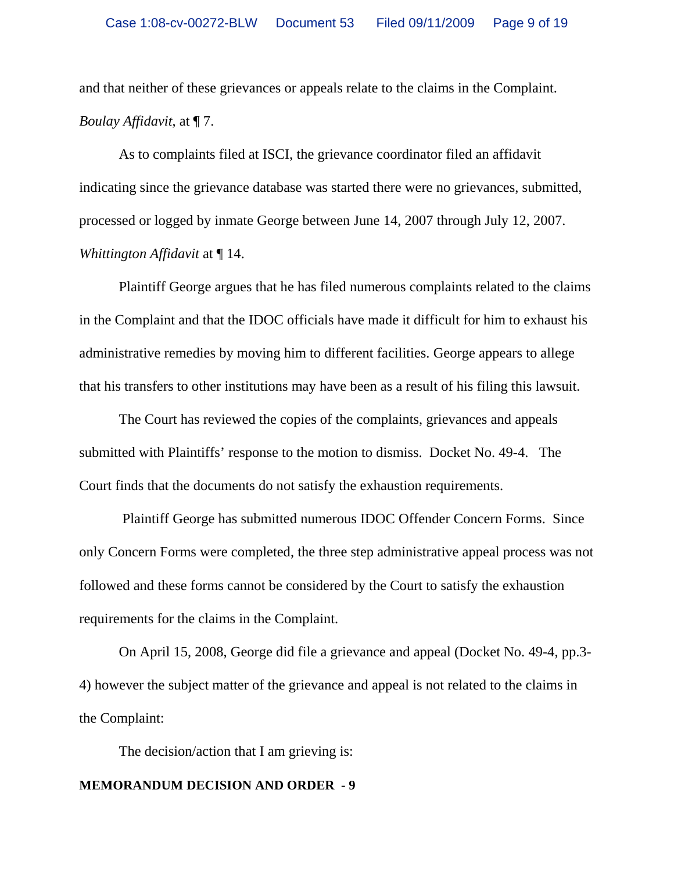and that neither of these grievances or appeals relate to the claims in the Complaint. *Boulay Affidavit*, at ¶ 7.

As to complaints filed at ISCI, the grievance coordinator filed an affidavit indicating since the grievance database was started there were no grievances, submitted, processed or logged by inmate George between June 14, 2007 through July 12, 2007. *Whittington Affidavit* at ¶ 14.

Plaintiff George argues that he has filed numerous complaints related to the claims in the Complaint and that the IDOC officials have made it difficult for him to exhaust his administrative remedies by moving him to different facilities. George appears to allege that his transfers to other institutions may have been as a result of his filing this lawsuit.

The Court has reviewed the copies of the complaints, grievances and appeals submitted with Plaintiffs' response to the motion to dismiss. Docket No. 49-4. The Court finds that the documents do not satisfy the exhaustion requirements.

 Plaintiff George has submitted numerous IDOC Offender Concern Forms. Since only Concern Forms were completed, the three step administrative appeal process was not followed and these forms cannot be considered by the Court to satisfy the exhaustion requirements for the claims in the Complaint.

On April 15, 2008, George did file a grievance and appeal (Docket No. 49-4, pp.3- 4) however the subject matter of the grievance and appeal is not related to the claims in the Complaint:

The decision/action that I am grieving is: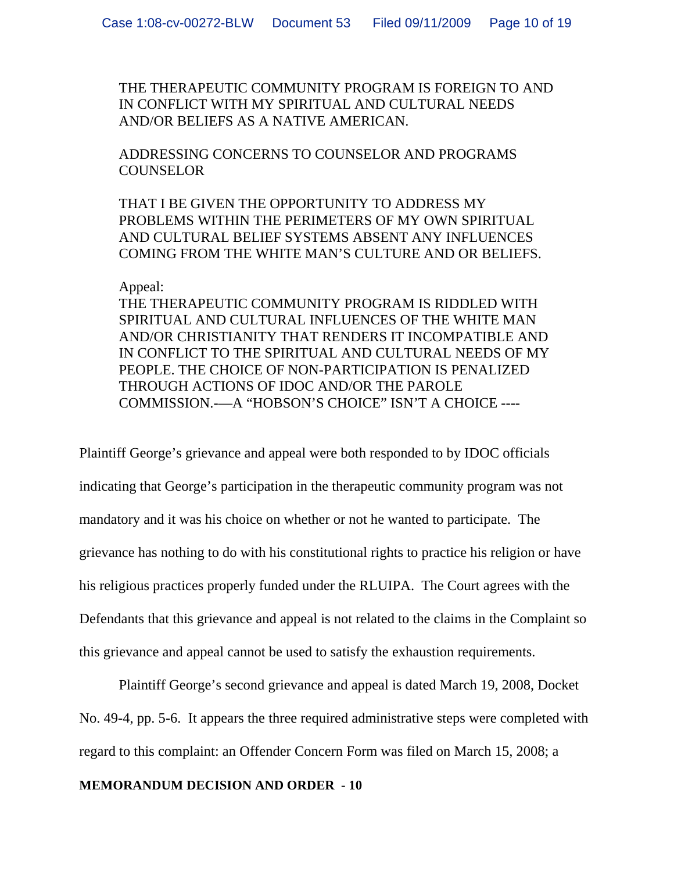THE THERAPEUTIC COMMUNITY PROGRAM IS FOREIGN TO AND IN CONFLICT WITH MY SPIRITUAL AND CULTURAL NEEDS AND/OR BELIEFS AS A NATIVE AMERICAN.

ADDRESSING CONCERNS TO COUNSELOR AND PROGRAMS **COUNSELOR** 

THAT I BE GIVEN THE OPPORTUNITY TO ADDRESS MY PROBLEMS WITHIN THE PERIMETERS OF MY OWN SPIRITUAL AND CULTURAL BELIEF SYSTEMS ABSENT ANY INFLUENCES COMING FROM THE WHITE MAN'S CULTURE AND OR BELIEFS.

### Appeal:

THE THERAPEUTIC COMMUNITY PROGRAM IS RIDDLED WITH SPIRITUAL AND CULTURAL INFLUENCES OF THE WHITE MAN AND/OR CHRISTIANITY THAT RENDERS IT INCOMPATIBLE AND IN CONFLICT TO THE SPIRITUAL AND CULTURAL NEEDS OF MY PEOPLE. THE CHOICE OF NON-PARTICIPATION IS PENALIZED THROUGH ACTIONS OF IDOC AND/OR THE PAROLE COMMISSION.-—A "HOBSON'S CHOICE" ISN'T A CHOICE ----

Plaintiff George's grievance and appeal were both responded to by IDOC officials indicating that George's participation in the therapeutic community program was not mandatory and it was his choice on whether or not he wanted to participate. The grievance has nothing to do with his constitutional rights to practice his religion or have his religious practices properly funded under the RLUIPA. The Court agrees with the Defendants that this grievance and appeal is not related to the claims in the Complaint so this grievance and appeal cannot be used to satisfy the exhaustion requirements.

Plaintiff George's second grievance and appeal is dated March 19, 2008, Docket No. 49-4, pp. 5-6. It appears the three required administrative steps were completed with regard to this complaint: an Offender Concern Form was filed on March 15, 2008; a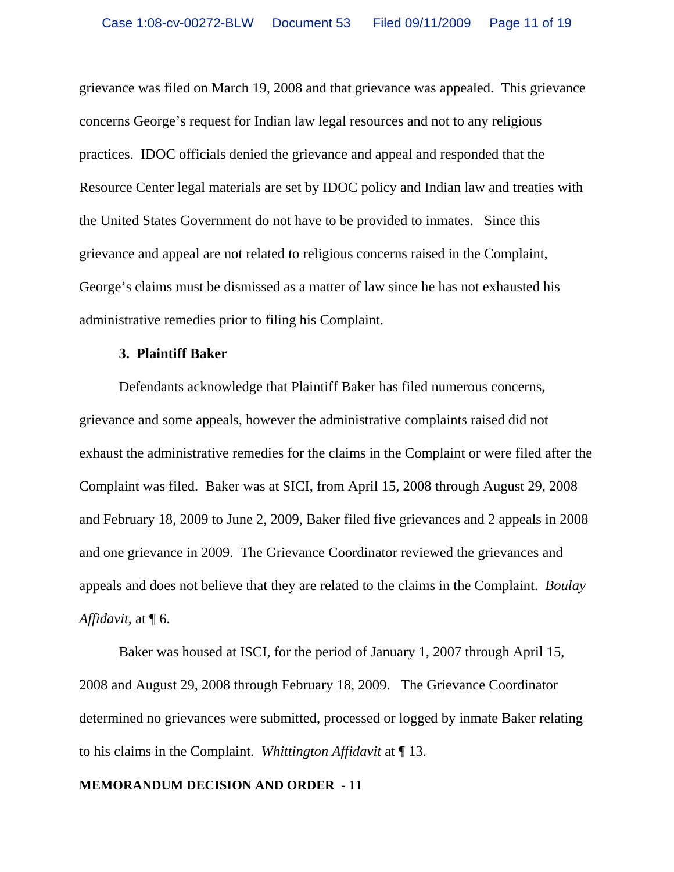grievance was filed on March 19, 2008 and that grievance was appealed. This grievance concerns George's request for Indian law legal resources and not to any religious practices. IDOC officials denied the grievance and appeal and responded that the Resource Center legal materials are set by IDOC policy and Indian law and treaties with the United States Government do not have to be provided to inmates. Since this grievance and appeal are not related to religious concerns raised in the Complaint, George's claims must be dismissed as a matter of law since he has not exhausted his administrative remedies prior to filing his Complaint.

### **3. Plaintiff Baker**

Defendants acknowledge that Plaintiff Baker has filed numerous concerns, grievance and some appeals, however the administrative complaints raised did not exhaust the administrative remedies for the claims in the Complaint or were filed after the Complaint was filed. Baker was at SICI, from April 15, 2008 through August 29, 2008 and February 18, 2009 to June 2, 2009, Baker filed five grievances and 2 appeals in 2008 and one grievance in 2009. The Grievance Coordinator reviewed the grievances and appeals and does not believe that they are related to the claims in the Complaint. *Boulay Affidavit*, at ¶ 6.

Baker was housed at ISCI, for the period of January 1, 2007 through April 15, 2008 and August 29, 2008 through February 18, 2009. The Grievance Coordinator determined no grievances were submitted, processed or logged by inmate Baker relating to his claims in the Complaint. *Whittington Affidavit* at ¶ 13.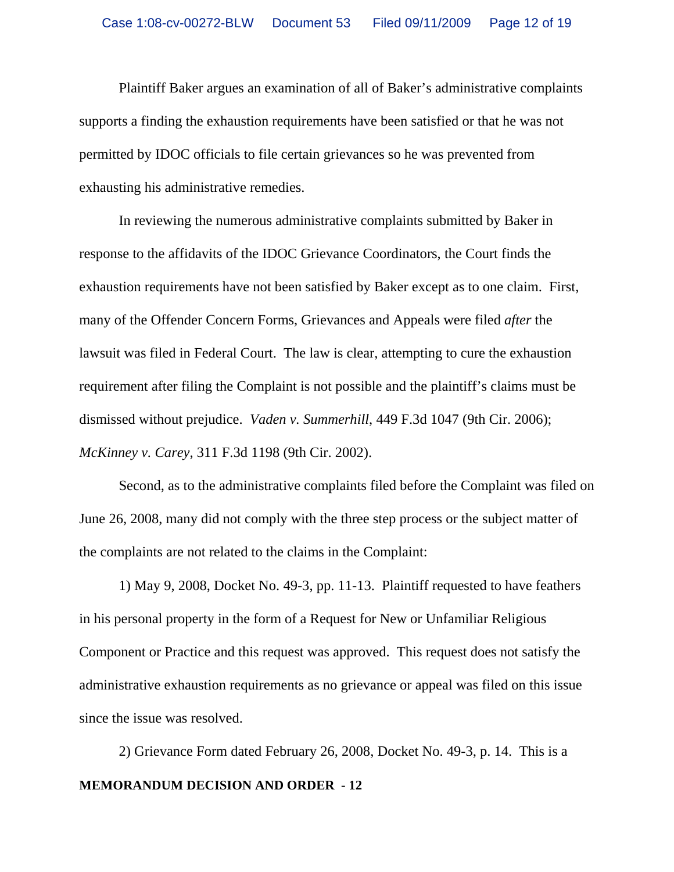Plaintiff Baker argues an examination of all of Baker's administrative complaints supports a finding the exhaustion requirements have been satisfied or that he was not permitted by IDOC officials to file certain grievances so he was prevented from exhausting his administrative remedies.

In reviewing the numerous administrative complaints submitted by Baker in response to the affidavits of the IDOC Grievance Coordinators, the Court finds the exhaustion requirements have not been satisfied by Baker except as to one claim. First, many of the Offender Concern Forms, Grievances and Appeals were filed *after* the lawsuit was filed in Federal Court. The law is clear, attempting to cure the exhaustion requirement after filing the Complaint is not possible and the plaintiff's claims must be dismissed without prejudice. *Vaden v. Summerhill*, 449 F.3d 1047 (9th Cir. 2006); *McKinney v. Carey*, 311 F.3d 1198 (9th Cir. 2002).

Second, as to the administrative complaints filed before the Complaint was filed on June 26, 2008, many did not comply with the three step process or the subject matter of the complaints are not related to the claims in the Complaint:

1) May 9, 2008, Docket No. 49-3, pp. 11-13. Plaintiff requested to have feathers in his personal property in the form of a Request for New or Unfamiliar Religious Component or Practice and this request was approved. This request does not satisfy the administrative exhaustion requirements as no grievance or appeal was filed on this issue since the issue was resolved.

**MEMORANDUM DECISION AND ORDER - 12** 2) Grievance Form dated February 26, 2008, Docket No. 49-3, p. 14. This is a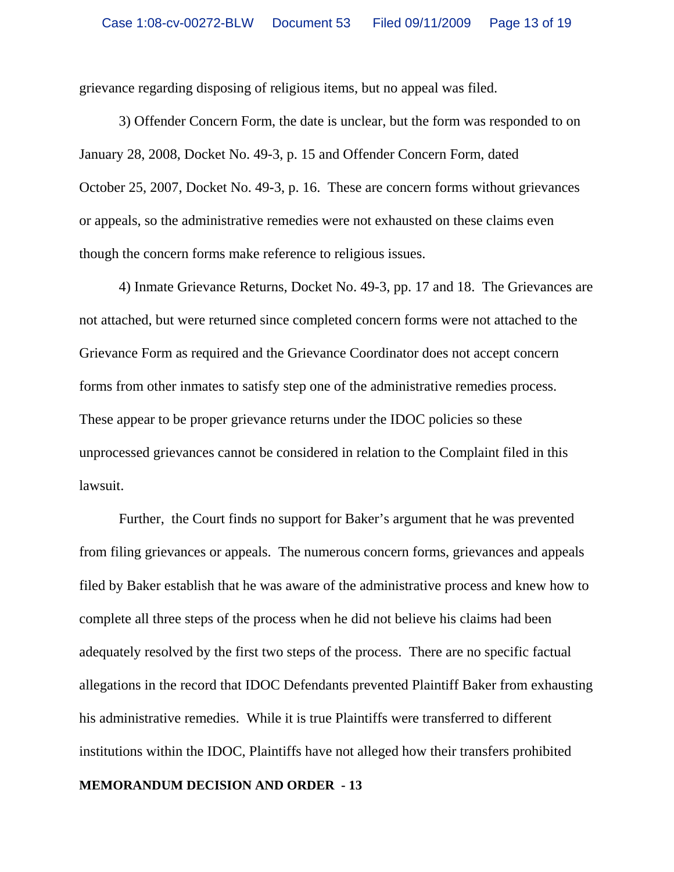grievance regarding disposing of religious items, but no appeal was filed.

3) Offender Concern Form, the date is unclear, but the form was responded to on January 28, 2008, Docket No. 49-3, p. 15 and Offender Concern Form, dated October 25, 2007, Docket No. 49-3, p. 16. These are concern forms without grievances or appeals, so the administrative remedies were not exhausted on these claims even though the concern forms make reference to religious issues.

4) Inmate Grievance Returns, Docket No. 49-3, pp. 17 and 18. The Grievances are not attached, but were returned since completed concern forms were not attached to the Grievance Form as required and the Grievance Coordinator does not accept concern forms from other inmates to satisfy step one of the administrative remedies process. These appear to be proper grievance returns under the IDOC policies so these unprocessed grievances cannot be considered in relation to the Complaint filed in this lawsuit.

Further, the Court finds no support for Baker's argument that he was prevented from filing grievances or appeals. The numerous concern forms, grievances and appeals filed by Baker establish that he was aware of the administrative process and knew how to complete all three steps of the process when he did not believe his claims had been adequately resolved by the first two steps of the process. There are no specific factual allegations in the record that IDOC Defendants prevented Plaintiff Baker from exhausting his administrative remedies. While it is true Plaintiffs were transferred to different institutions within the IDOC, Plaintiffs have not alleged how their transfers prohibited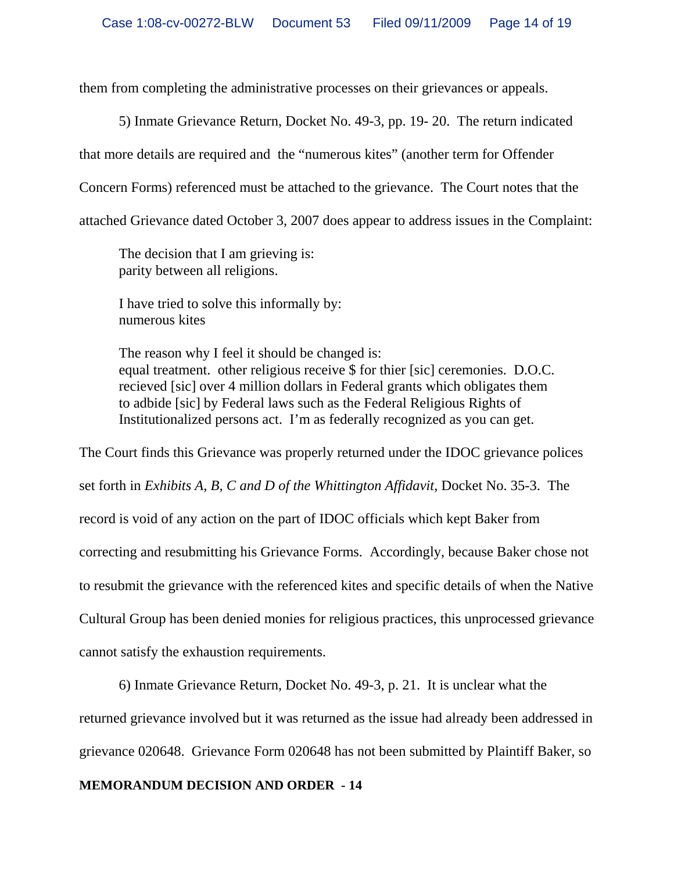them from completing the administrative processes on their grievances or appeals.

5) Inmate Grievance Return, Docket No. 49-3, pp. 19- 20. The return indicated

that more details are required and the "numerous kites" (another term for Offender

Concern Forms) referenced must be attached to the grievance. The Court notes that the

attached Grievance dated October 3, 2007 does appear to address issues in the Complaint:

The decision that I am grieving is: parity between all religions.

I have tried to solve this informally by: numerous kites

The reason why I feel it should be changed is: equal treatment. other religious receive \$ for thier [sic] ceremonies. D.O.C. recieved [sic] over 4 million dollars in Federal grants which obligates them to adbide [sic] by Federal laws such as the Federal Religious Rights of Institutionalized persons act. I'm as federally recognized as you can get.

The Court finds this Grievance was properly returned under the IDOC grievance polices set forth in *Exhibits A, B, C and D of the Whittington Affidavit*, Docket No. 35-3. The record is void of any action on the part of IDOC officials which kept Baker from correcting and resubmitting his Grievance Forms. Accordingly, because Baker chose not to resubmit the grievance with the referenced kites and specific details of when the Native Cultural Group has been denied monies for religious practices, this unprocessed grievance cannot satisfy the exhaustion requirements.

6) Inmate Grievance Return, Docket No. 49-3, p. 21. It is unclear what the

returned grievance involved but it was returned as the issue had already been addressed in

grievance 020648. Grievance Form 020648 has not been submitted by Plaintiff Baker, so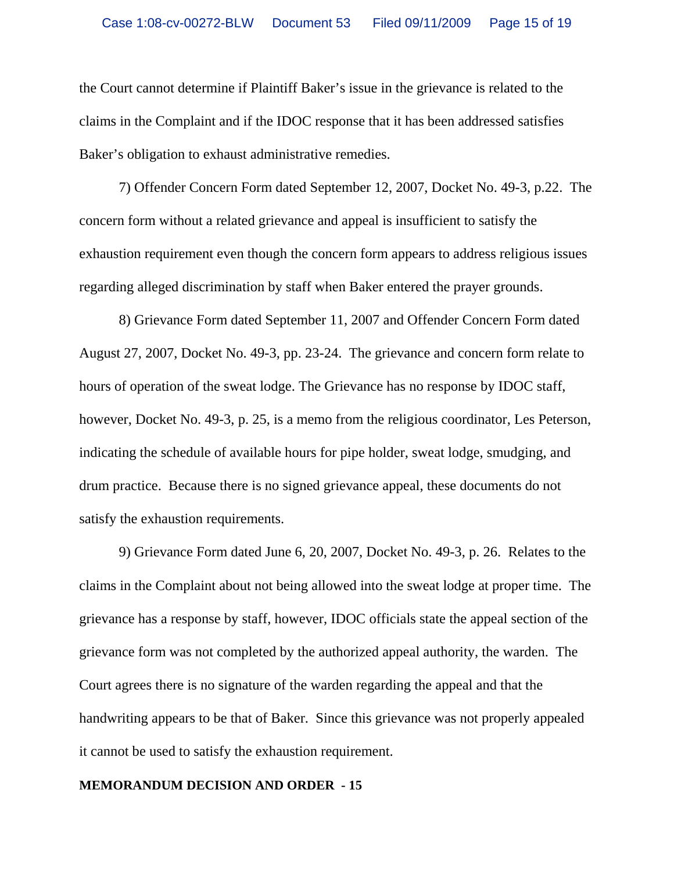the Court cannot determine if Plaintiff Baker's issue in the grievance is related to the claims in the Complaint and if the IDOC response that it has been addressed satisfies Baker's obligation to exhaust administrative remedies.

7) Offender Concern Form dated September 12, 2007, Docket No. 49-3, p.22. The concern form without a related grievance and appeal is insufficient to satisfy the exhaustion requirement even though the concern form appears to address religious issues regarding alleged discrimination by staff when Baker entered the prayer grounds.

8) Grievance Form dated September 11, 2007 and Offender Concern Form dated August 27, 2007, Docket No. 49-3, pp. 23-24. The grievance and concern form relate to hours of operation of the sweat lodge. The Grievance has no response by IDOC staff, however, Docket No. 49-3, p. 25, is a memo from the religious coordinator, Les Peterson, indicating the schedule of available hours for pipe holder, sweat lodge, smudging, and drum practice. Because there is no signed grievance appeal, these documents do not satisfy the exhaustion requirements.

9) Grievance Form dated June 6, 20, 2007, Docket No. 49-3, p. 26. Relates to the claims in the Complaint about not being allowed into the sweat lodge at proper time. The grievance has a response by staff, however, IDOC officials state the appeal section of the grievance form was not completed by the authorized appeal authority, the warden. The Court agrees there is no signature of the warden regarding the appeal and that the handwriting appears to be that of Baker. Since this grievance was not properly appealed it cannot be used to satisfy the exhaustion requirement.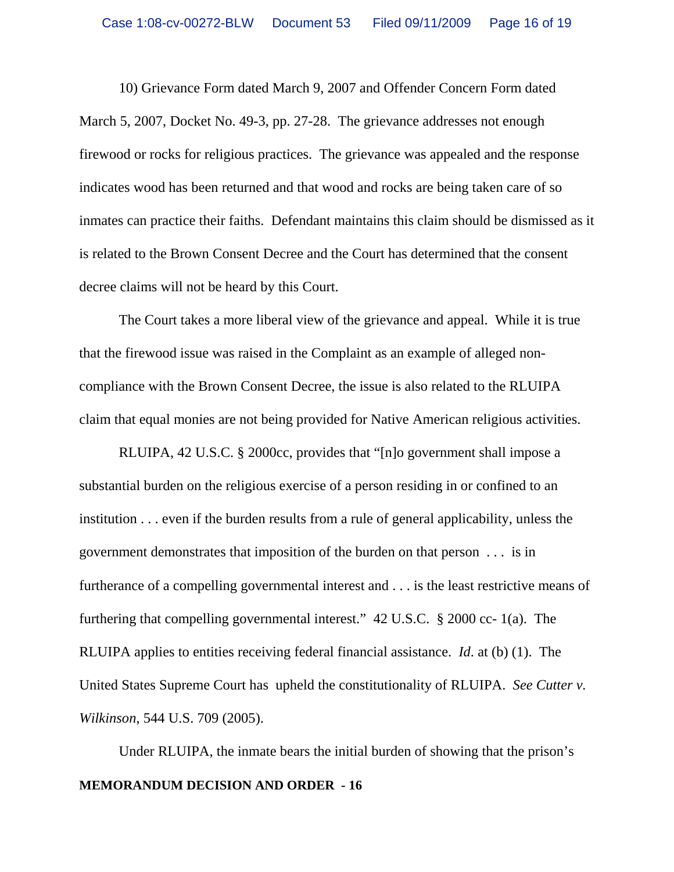10) Grievance Form dated March 9, 2007 and Offender Concern Form dated March 5, 2007, Docket No. 49-3, pp. 27-28. The grievance addresses not enough firewood or rocks for religious practices. The grievance was appealed and the response indicates wood has been returned and that wood and rocks are being taken care of so inmates can practice their faiths. Defendant maintains this claim should be dismissed as it is related to the Brown Consent Decree and the Court has determined that the consent decree claims will not be heard by this Court.

The Court takes a more liberal view of the grievance and appeal. While it is true that the firewood issue was raised in the Complaint as an example of alleged noncompliance with the Brown Consent Decree, the issue is also related to the RLUIPA claim that equal monies are not being provided for Native American religious activities.

RLUIPA, 42 U.S.C. § 2000cc, provides that "[n]o government shall impose a substantial burden on the religious exercise of a person residing in or confined to an institution . . . even if the burden results from a rule of general applicability, unless the government demonstrates that imposition of the burden on that person . . . is in furtherance of a compelling governmental interest and . . . is the least restrictive means of furthering that compelling governmental interest." 42 U.S.C. § 2000 cc- 1(a). The RLUIPA applies to entities receiving federal financial assistance. *Id*. at (b) (1). The United States Supreme Court has upheld the constitutionality of RLUIPA. *See Cutter v. Wilkinson*, 544 U.S. 709 (2005).

**MEMORANDUM DECISION AND ORDER - 16** Under RLUIPA, the inmate bears the initial burden of showing that the prison's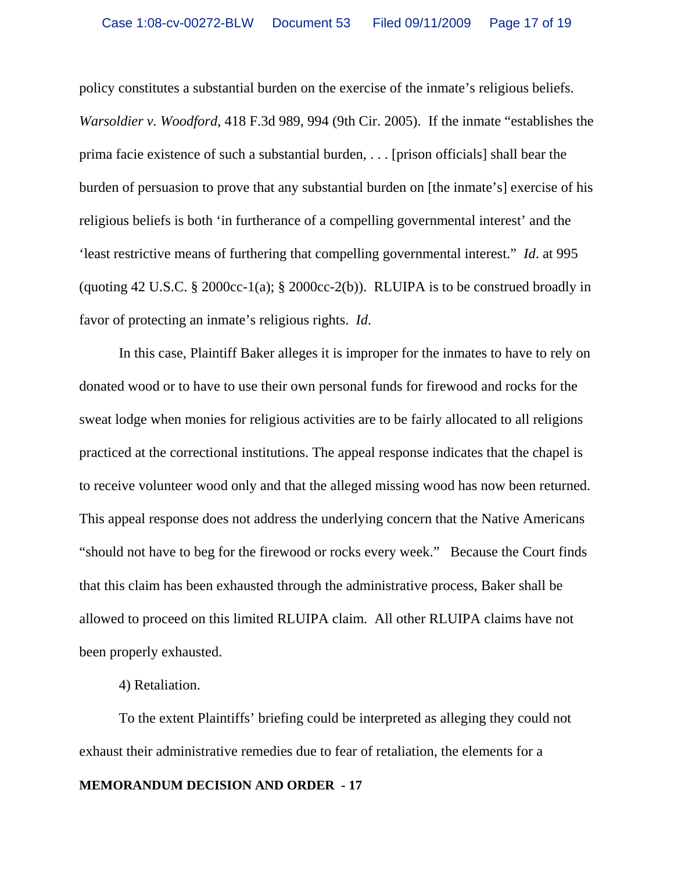policy constitutes a substantial burden on the exercise of the inmate's religious beliefs. *Warsoldier v. Woodford*, 418 F.3d 989, 994 (9th Cir. 2005). If the inmate "establishes the prima facie existence of such a substantial burden, . . . [prison officials] shall bear the burden of persuasion to prove that any substantial burden on [the inmate's] exercise of his religious beliefs is both 'in furtherance of a compelling governmental interest' and the 'least restrictive means of furthering that compelling governmental interest." *Id*. at 995 (quoting 42 U.S.C.  $\S$  2000cc-1(a);  $\S$  2000cc-2(b)). RLUIPA is to be construed broadly in favor of protecting an inmate's religious rights. *Id*.

In this case, Plaintiff Baker alleges it is improper for the inmates to have to rely on donated wood or to have to use their own personal funds for firewood and rocks for the sweat lodge when monies for religious activities are to be fairly allocated to all religions practiced at the correctional institutions. The appeal response indicates that the chapel is to receive volunteer wood only and that the alleged missing wood has now been returned. This appeal response does not address the underlying concern that the Native Americans "should not have to beg for the firewood or rocks every week." Because the Court finds that this claim has been exhausted through the administrative process, Baker shall be allowed to proceed on this limited RLUIPA claim. All other RLUIPA claims have not been properly exhausted.

4) Retaliation.

To the extent Plaintiffs' briefing could be interpreted as alleging they could not exhaust their administrative remedies due to fear of retaliation, the elements for a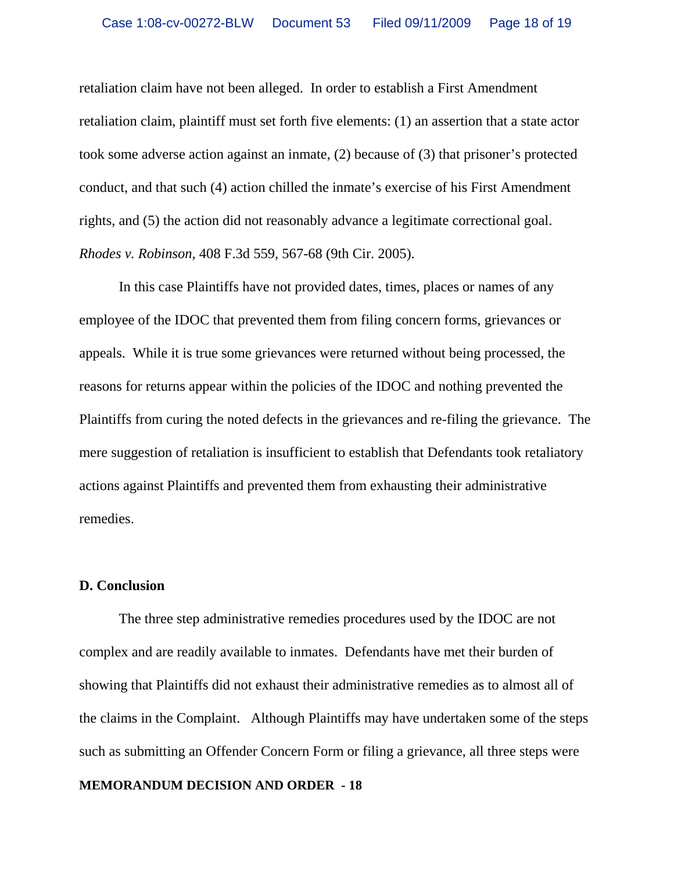retaliation claim have not been alleged. In order to establish a First Amendment retaliation claim, plaintiff must set forth five elements: (1) an assertion that a state actor took some adverse action against an inmate, (2) because of (3) that prisoner's protected conduct, and that such (4) action chilled the inmate's exercise of his First Amendment rights, and (5) the action did not reasonably advance a legitimate correctional goal. *Rhodes v. Robinson*, 408 F.3d 559, 567-68 (9th Cir. 2005).

In this case Plaintiffs have not provided dates, times, places or names of any employee of the IDOC that prevented them from filing concern forms, grievances or appeals. While it is true some grievances were returned without being processed, the reasons for returns appear within the policies of the IDOC and nothing prevented the Plaintiffs from curing the noted defects in the grievances and re-filing the grievance. The mere suggestion of retaliation is insufficient to establish that Defendants took retaliatory actions against Plaintiffs and prevented them from exhausting their administrative remedies.

#### **D. Conclusion**

The three step administrative remedies procedures used by the IDOC are not complex and are readily available to inmates. Defendants have met their burden of showing that Plaintiffs did not exhaust their administrative remedies as to almost all of the claims in the Complaint. Although Plaintiffs may have undertaken some of the steps such as submitting an Offender Concern Form or filing a grievance, all three steps were